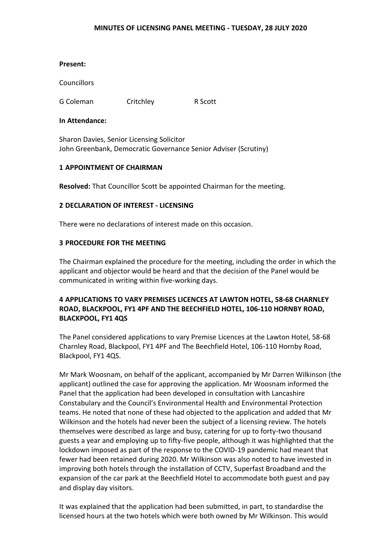#### **MINUTES OF LICENSING PANEL MEETING - TUESDAY, 28 JULY 2020**

**Councillors** 

G Coleman Critchley R Scott

## **In Attendance:**

Sharon Davies, Senior Licensing Solicitor John Greenbank, Democratic Governance Senior Adviser (Scrutiny)

# **1 APPOINTMENT OF CHAIRMAN**

**Resolved:** That Councillor Scott be appointed Chairman for the meeting.

# **2 DECLARATION OF INTEREST - LICENSING**

There were no declarations of interest made on this occasion.

# **3 PROCEDURE FOR THE MEETING**

The Chairman explained the procedure for the meeting, including the order in which the applicant and objector would be heard and that the decision of the Panel would be communicated in writing within five-working days.

# **4 APPLICATIONS TO VARY PREMISES LICENCES AT LAWTON HOTEL, 58-68 CHARNLEY ROAD, BLACKPOOL, FY1 4PF AND THE BEECHFIELD HOTEL, 106-110 HORNBY ROAD, BLACKPOOL, FY1 4QS**

The Panel considered applications to vary Premise Licences at the Lawton Hotel, 58-68 Charnley Road, Blackpool, FY1 4PF and The Beechfield Hotel, 106-110 Hornby Road, Blackpool, FY1 4QS.

Mr Mark Woosnam, on behalf of the applicant, accompanied by Mr Darren Wilkinson (the applicant) outlined the case for approving the application. Mr Woosnam informed the Panel that the application had been developed in consultation with Lancashire Constabulary and the Council's Environmental Health and Environmental Protection teams. He noted that none of these had objected to the application and added that Mr Wilkinson and the hotels had never been the subject of a licensing review. The hotels themselves were described as large and busy, catering for up to forty-two thousand guests a year and employing up to fifty-five people, although it was highlighted that the lockdown imposed as part of the response to the COVID-19 pandemic had meant that fewer had been retained during 2020. Mr Wilkinson was also noted to have invested in improving both hotels through the installation of CCTV, Superfast Broadband and the expansion of the car park at the Beechfield Hotel to accommodate both guest and pay and display day visitors.

It was explained that the application had been submitted, in part, to standardise the licensed hours at the two hotels which were both owned by Mr Wilkinson. This would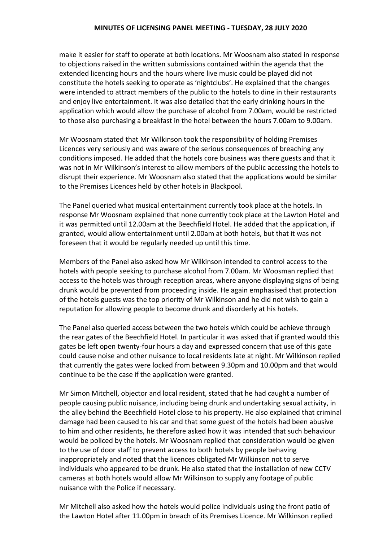make it easier for staff to operate at both locations. Mr Woosnam also stated in response to objections raised in the written submissions contained within the agenda that the extended licencing hours and the hours where live music could be played did not constitute the hotels seeking to operate as 'nightclubs'. He explained that the changes were intended to attract members of the public to the hotels to dine in their restaurants and enjoy live entertainment. It was also detailed that the early drinking hours in the application which would allow the purchase of alcohol from 7.00am, would be restricted to those also purchasing a breakfast in the hotel between the hours 7.00am to 9.00am.

Mr Woosnam stated that Mr Wilkinson took the responsibility of holding Premises Licences very seriously and was aware of the serious consequences of breaching any conditions imposed. He added that the hotels core business was there guests and that it was not in Mr Wilkinson's interest to allow members of the public accessing the hotels to disrupt their experience. Mr Woosnam also stated that the applications would be similar to the Premises Licences held by other hotels in Blackpool.

The Panel queried what musical entertainment currently took place at the hotels. In response Mr Woosnam explained that none currently took place at the Lawton Hotel and it was permitted until 12.00am at the Beechfield Hotel. He added that the application, if granted, would allow entertainment until 2.00am at both hotels, but that it was not foreseen that it would be regularly needed up until this time.

Members of the Panel also asked how Mr Wilkinson intended to control access to the hotels with people seeking to purchase alcohol from 7.00am. Mr Woosman replied that access to the hotels was through reception areas, where anyone displaying signs of being drunk would be prevented from proceeding inside. He again emphasised that protection of the hotels guests was the top priority of Mr Wilkinson and he did not wish to gain a reputation for allowing people to become drunk and disorderly at his hotels.

The Panel also queried access between the two hotels which could be achieve through the rear gates of the Beechfield Hotel. In particular it was asked that if granted would this gates be left open twenty-four hours a day and expressed concern that use of this gate could cause noise and other nuisance to local residents late at night. Mr Wilkinson replied that currently the gates were locked from between 9.30pm and 10.00pm and that would continue to be the case if the application were granted.

Mr Simon Mitchell, objector and local resident, stated that he had caught a number of people causing public nuisance, including being drunk and undertaking sexual activity, in the alley behind the Beechfield Hotel close to his property. He also explained that criminal damage had been caused to his car and that some guest of the hotels had been abusive to him and other residents, he therefore asked how it was intended that such behaviour would be policed by the hotels. Mr Woosnam replied that consideration would be given to the use of door staff to prevent access to both hotels by people behaving inappropriately and noted that the licences obligated Mr Wilkinson not to serve individuals who appeared to be drunk. He also stated that the installation of new CCTV cameras at both hotels would allow Mr Wilkinson to supply any footage of public nuisance with the Police if necessary.

Mr Mitchell also asked how the hotels would police individuals using the front patio of the Lawton Hotel after 11.00pm in breach of its Premises Licence. Mr Wilkinson replied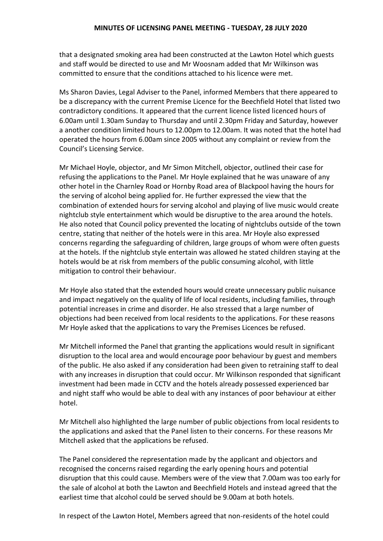that a designated smoking area had been constructed at the Lawton Hotel which guests and staff would be directed to use and Mr Woosnam added that Mr Wilkinson was committed to ensure that the conditions attached to his licence were met.

Ms Sharon Davies, Legal Adviser to the Panel, informed Members that there appeared to be a discrepancy with the current Premise Licence for the Beechfield Hotel that listed two contradictory conditions. It appeared that the current licence listed licenced hours of 6.00am until 1.30am Sunday to Thursday and until 2.30pm Friday and Saturday, however a another condition limited hours to 12.00pm to 12.00am. It was noted that the hotel had operated the hours from 6.00am since 2005 without any complaint or review from the Council's Licensing Service.

Mr Michael Hoyle, objector, and Mr Simon Mitchell, objector, outlined their case for refusing the applications to the Panel. Mr Hoyle explained that he was unaware of any other hotel in the Charnley Road or Hornby Road area of Blackpool having the hours for the serving of alcohol being applied for. He further expressed the view that the combination of extended hours for serving alcohol and playing of live music would create nightclub style entertainment which would be disruptive to the area around the hotels. He also noted that Council policy prevented the locating of nightclubs outside of the town centre, stating that neither of the hotels were in this area. Mr Hoyle also expressed concerns regarding the safeguarding of children, large groups of whom were often guests at the hotels. If the nightclub style entertain was allowed he stated children staying at the hotels would be at risk from members of the public consuming alcohol, with little mitigation to control their behaviour.

Mr Hoyle also stated that the extended hours would create unnecessary public nuisance and impact negatively on the quality of life of local residents, including families, through potential increases in crime and disorder. He also stressed that a large number of objections had been received from local residents to the applications. For these reasons Mr Hoyle asked that the applications to vary the Premises Licences be refused.

Mr Mitchell informed the Panel that granting the applications would result in significant disruption to the local area and would encourage poor behaviour by guest and members of the public. He also asked if any consideration had been given to retraining staff to deal with any increases in disruption that could occur. Mr Wilkinson responded that significant investment had been made in CCTV and the hotels already possessed experienced bar and night staff who would be able to deal with any instances of poor behaviour at either hotel.

Mr Mitchell also highlighted the large number of public objections from local residents to the applications and asked that the Panel listen to their concerns. For these reasons Mr Mitchell asked that the applications be refused.

The Panel considered the representation made by the applicant and objectors and recognised the concerns raised regarding the early opening hours and potential disruption that this could cause. Members were of the view that 7.00am was too early for the sale of alcohol at both the Lawton and Beechfield Hotels and instead agreed that the earliest time that alcohol could be served should be 9.00am at both hotels.

In respect of the Lawton Hotel, Members agreed that non-residents of the hotel could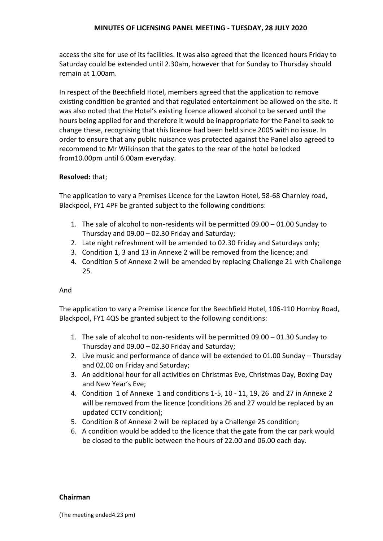# **MINUTES OF LICENSING PANEL MEETING - TUESDAY, 28 JULY 2020**

access the site for use of its facilities. It was also agreed that the licenced hours Friday to Saturday could be extended until 2.30am, however that for Sunday to Thursday should remain at 1.00am.

In respect of the Beechfield Hotel, members agreed that the application to remove existing condition be granted and that regulated entertainment be allowed on the site. It was also noted that the Hotel's existing licence allowed alcohol to be served until the hours being applied for and therefore it would be inappropriate for the Panel to seek to change these, recognising that this licence had been held since 2005 with no issue. In order to ensure that any public nuisance was protected against the Panel also agreed to recommend to Mr Wilkinson that the gates to the rear of the hotel be locked from10.00pm until 6.00am everyday.

## **Resolved:** that;

The application to vary a Premises Licence for the Lawton Hotel, 58-68 Charnley road, Blackpool, FY1 4PF be granted subject to the following conditions:

- 1. The sale of alcohol to non-residents will be permitted 09.00 01.00 Sunday to Thursday and 09.00 – 02.30 Friday and Saturday;
- 2. Late night refreshment will be amended to 02.30 Friday and Saturdays only;
- 3. Condition 1, 3 and 13 in Annexe 2 will be removed from the licence; and
- 4. Condition 5 of Annexe 2 will be amended by replacing Challenge 21 with Challenge 25.

# And

The application to vary a Premise Licence for the Beechfield Hotel, 106-110 Hornby Road, Blackpool, FY1 4QS be granted subject to the following conditions:

- 1. The sale of alcohol to non-residents will be permitted 09.00 01.30 Sunday to Thursday and 09.00 – 02.30 Friday and Saturday;
- 2. Live music and performance of dance will be extended to 01.00 Sunday Thursday and 02.00 on Friday and Saturday;
- 3. An additional hour for all activities on Christmas Eve, Christmas Day, Boxing Day and New Year's Eve;
- 4. Condition 1 of Annexe 1 and conditions 1-5, 10 11, 19, 26 and 27 in Annexe 2 will be removed from the licence (conditions 26 and 27 would be replaced by an updated CCTV condition);
- 5. Condition 8 of Annexe 2 will be replaced by a Challenge 25 condition;
- 6. A condition would be added to the licence that the gate from the car park would be closed to the public between the hours of 22.00 and 06.00 each day.

#### **Chairman**